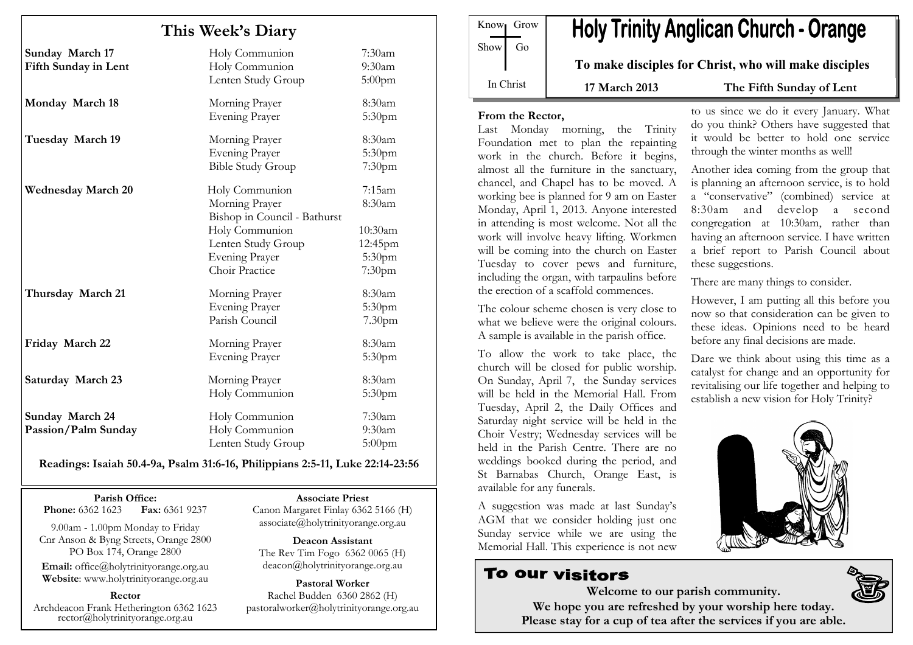| This Week's Diary                       |                                                                                 |                                           |
|-----------------------------------------|---------------------------------------------------------------------------------|-------------------------------------------|
| Sunday March 17<br>Fifth Sunday in Lent | Holy Communion<br>Holy Communion<br>Lenten Study Group                          | 7:30am<br>$9:30$ am<br>$5:00$ pm          |
| Monday March 18                         | Morning Prayer<br><b>Evening Prayer</b>                                         | 8:30am<br>5:30 <sub>pm</sub>              |
| Tuesday March 19                        | Morning Prayer<br><b>Evening Prayer</b><br><b>Bible Study Group</b>             | 8:30am<br>5:30pm<br>$7:30$ pm             |
| <b>Wednesday March 20</b>               | Holy Communion<br>Morning Prayer<br>Bishop in Council - Bathurst                | 7:15am<br>8:30am                          |
|                                         | Holy Communion<br>Lenten Study Group<br><b>Evening Prayer</b><br>Choir Practice | 10:30am<br>12:45pm<br>5:30pm<br>$7:30$ pm |
| Thursday March 21                       | Morning Prayer<br>Evening Prayer<br>Parish Council                              | 8:30am<br>5:30pm<br>7.30 <sub>pm</sub>    |
| Friday March 22                         | Morning Prayer<br><b>Evening Prayer</b>                                         | 8:30am<br>5:30pm                          |
| Saturday March 23                       | Morning Prayer<br>Holy Communion                                                | 8:30am<br>5:30 <sub>pm</sub>              |
| Sunday March 24<br>Passion/Palm Sunday  | Holy Communion<br>Holy Communion<br>Lenten Study Group                          | $7:30$ am<br>$9:30$ am<br>$5:00$ pm       |

#### Readings: Isaiah 50.4-9a, Psalm 31:6-16, Philippians 2:5-11, Luke 22:14-23:56

#### Parish Office:

Fax: 6361 9237 **Phone:** 6362 1623

9.00am - 1.00pm Monday to Friday Cnr Anson & Byng Streets, Orange 2800 PO Box 174, Orange 2800

Email: office@holytrinityorange.org.au Website: www.holytrinityorange.org.au

#### Rector

Archdeacon Frank Hetherington 6362 1623 rector@holytrinityorange.org.au

Associate Priest

Canon Margaret Finlay 6362 5166 (H) associate@holytrinityorange.org.au

Deacon Assistant The Rev Tim Fogo 6362 0065 (H) deacon@holytrinityorange.org.au

Pastoral Worker Rachel Budden 6360 2862 (H) pastoralworker@holytrinityorange.org.au

Know<sub>l</sub> Grow  $Show \mid Go$ In Christ

# **Holy Trinity Anglican Church - Orange**

To make disciples for Christ, who will make disciples

17 March 2013 The Fifth Sunday of Lent

#### From the Rector,

Last Monday morning, the Trinity Foundation met to plan the repainting work in the church. Before it begins, almost all the furniture in the sanctuary, chancel, and Chapel has to be moved. A working bee is planned for 9 am on Easter Monday, April 1, 2013. Anyone interested in attending is most welcome. Not all the work will involve heavy lifting. Workmen will be coming into the church on Easter Tuesday to cover pews and furniture, including the organ, with tarpaulins before the erection of a scaffold commences.

The colour scheme chosen is very close to what we believe were the original colours. A sample is available in the parish office.

To allow the work to take place, the church will be closed for public worship. On Sunday, April 7, the Sunday services will be held in the Memorial Hall. From Tuesday, April 2, the Daily Offices and Saturday night service will be held in the Choir Vestry; Wednesday services will be held in the Parish Centre. There are no weddings booked during the period, and St Barnabas Church, Orange East, is available for any funerals.

A suggestion was made at last Sunday's AGM that we consider holding just one Sunday service while we are using the Memorial Hall. This experience is not new

# **To our visitors**

to us since we do it every January. What do you think? Others have suggested that it would be better to hold one service through the winter months as well!

Another idea coming from the group that is planning an afternoon service, is to hold a "conservative" (combined) service at 8:30am and develop a second congregation at 10:30am, rather than having an afternoon service. I have written a brief report to Parish Council about these suggestions.

There are many things to consider.

However, I am putting all this before you now so that consideration can be given to these ideas. Opinions need to be heard before any final decisions are made.

Dare we think about using this time as a catalyst for change and an opportunity for revitalising our life together and helping to establish a new vision for Holy Trinity?



Welcome to our parish community. We hope you are refreshed by your worship here today. Please stay for a cup of tea after the services if you are able.